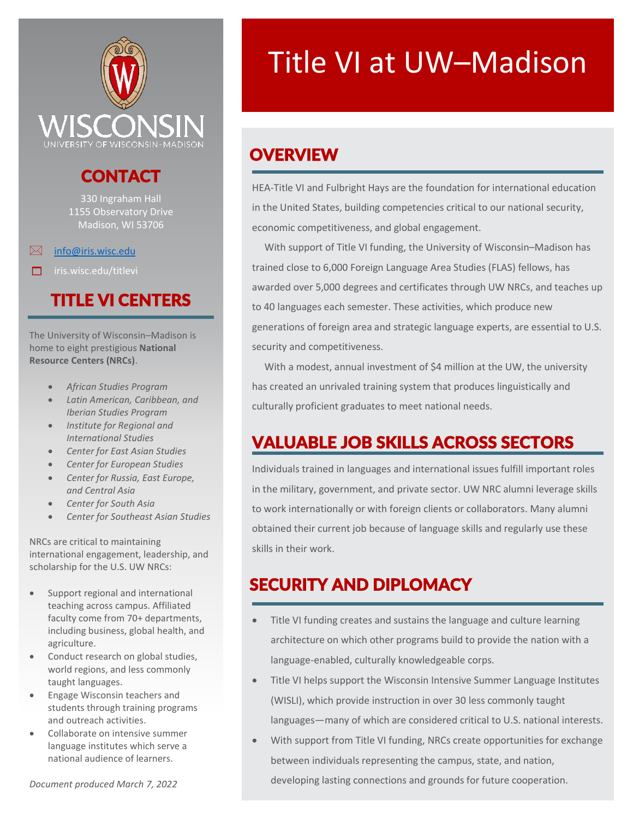

#### CONTACT

330 Ingraham Hall 1155 Observatory Drive Madison, WI 53706

 $\boxtimes$  info@iris.wisc.edu

 $\Box$  iris.wisc.edu/titlevi

#### TITLE VI CENTERS

The University of Wisconsin–Madison is home to eight prestigious **National Resource Centers (NRCs)**.

- *African Studies Program*
- *Latin American, Caribbean, and Iberian Studies Program*
- *Institute for Regional and International Studies*
- *Center for East Asian Studies*
- *Center for European Studies*
- *Center for Russia, East Europe, and Central Asia*
- *Center for South Asia*
- *Center for Southeast Asian Studies*

NRCs are critical to maintaining international engagement, leadership, and scholarship for the U.S. UW NRCs:

- Support regional and international teaching across campus. Affiliated faculty come from 70+ departments, including business, global health, and agriculture.
- Conduct research on global studies, world regions, and less commonly taught languages.
- Engage Wisconsin teachers and students through training programs and outreach activities.
- Collaborate on intensive summer language institutes which serve a national audience of learners.

# Title VI at UW–Madison

# **OVERVIEW**

HEA-Title VI and Fulbright Hays are the foundation for international education in the United States, building competencies critical to our national security, economic competitiveness, and global engagement.

 With support of Title VI funding, the University of Wisconsin–Madison has trained close to 6,000 Foreign Language Area Studies (FLAS) fellows, has awarded over 5,000 degrees and certificates through UW NRCs, and teaches up to 40 languages each semester. These activities, which produce new generations of foreign area and strategic language experts, are essential to U.S. security and competitiveness.

 With a modest, annual investment of \$4 million at the UW, the university has created an unrivaled training system that produces linguistically and culturally proficient graduates to meet national needs.

### VALUABLE JOB SKILLS ACROSS SECTORS

Individuals trained in languages and international issues fulfill important roles in the military, government, and private sector. UW NRC alumni leverage skills to work internationally or with foreign clients or collaborators. Many alumni obtained their current job because of language skills and regularly use these skills in their work.

### SECURITY AND DIPLOMACY

- Title VI funding creates and sustains the language and culture learning architecture on which other programs build to provide the nation with a language-enabled, culturally knowledgeable corps.
- Title VI helps support the Wisconsin Intensive Summer Language Institutes (WISLI), which provide instruction in over 30 less commonly taught languages—many of which are considered critical to U.S. national interests.
- With support from Title VI funding, NRCs create opportunities for exchange between individuals representing the campus, state, and nation, developing lasting connections and grounds for future cooperation.